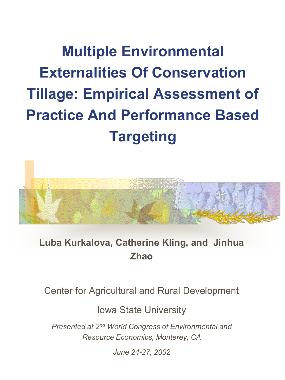**Multiple Environmental Externalities Of Conservation Tillage: Empirical Assessment of Practice And Performance Based Targeting** 



#### **Luba Kurkalova, Catherine Kling, and Jinhua Zhao**

Center for Agricultural and Rural Development

Iowa State University

*Presented at 2nd World Congress of Environmental and Resource Economics, Monterey, CA* 

*June 24-27, 2002*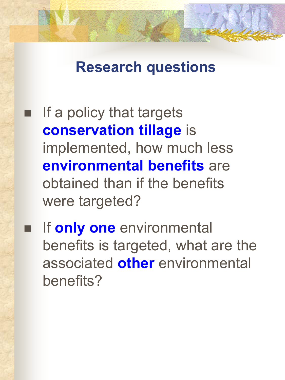### **Research questions**

- If a policy that targets **conservation tillage** is implemented, how much less **environmental benefits** are obtained than if the benefits were targeted?
- If **only one** environmental benefits is targeted, what are the associated **other** environmental benefits?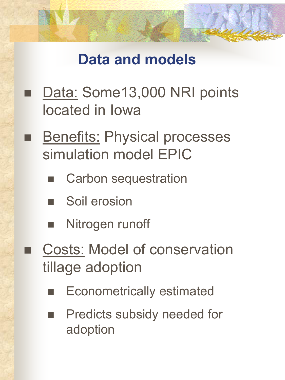## **Data and models**

- Data: Some13,000 NRI points located in Iowa
- **Benefits: Physical processes** simulation model EPIC
	- Carbon sequestration
	- **Soil erosion**
	- Nitrogen runoff
- Costs: Model of conservation tillage adoption
	- Econometrically estimated
	- Predicts subsidy needed for adoption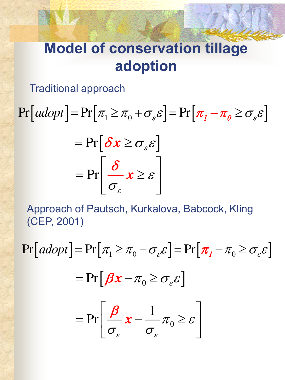## **Model of conservation tillage adoption**

Traditional approach

 $\Pr[adopt] = \Pr[\pi_1 \geq \pi_0 + \sigma_{\varepsilon} \varepsilon] = \Pr[\pi_1 - \pi_0 \geq \sigma_{\varepsilon} \varepsilon]$ 

$$
= \Pr\left[\delta x \geq \sigma_{\varepsilon} \varepsilon\right]
$$

$$
= \Pr\left[\frac{\delta}{\sigma_{\varepsilon}} x \geq \varepsilon\right]
$$

Approach of Pautsch, Kurkalova, Babcock, Kling (CEP, 2001)

 $\Pr[adopt] = \Pr[\pi_1 \geq \pi_0 + \sigma_{\varepsilon} \varepsilon] = \Pr[\pi_1 - \pi_0 \geq \sigma_{\varepsilon} \varepsilon]$ 0 1 Pr  $\varepsilon$   $\sigma$  $\pi_0 \geq \varepsilon$  $\sigma_{\varepsilon}$   $\sigma$  $\begin{bmatrix} \beta & 1 \end{bmatrix}$  $=\Pr\left[\frac{\rho}{\sigma_{\varepsilon}}x-\frac{1}{\sigma_{\varepsilon}}\pi_{0}\geq\varepsilon\right]$ *x*  $\boldsymbol{\beta}$  $= Pr[\beta x - \pi_0 \ge \sigma_{\varepsilon} \varepsilon]$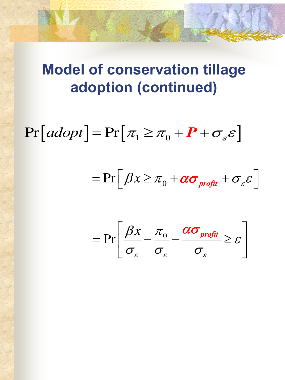## **Model of conservation tillage adoption (continued)**

 $\Pr[adopt] = \Pr[\pi_1 \geq \pi_0 + P + \sigma_{\varepsilon} \varepsilon]$ 

$$
= \Pr\Big[\,\beta x \ge \pi_{0} + \alpha \sigma_{\text{profit}} + \sigma_{\varepsilon} \varepsilon\,\Big]
$$

$$
= \Pr\left[\frac{\beta x}{\sigma_{\varepsilon}} - \frac{\pi_0}{\sigma_{\varepsilon}} - \frac{\alpha \sigma_{\text{profit}}}{\sigma_{\varepsilon}} \geq \varepsilon\right]
$$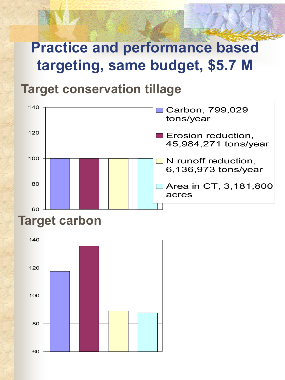# **Practice and performance based targeting, same budget, \$5.7 M**

#### **Target conservation tillage**



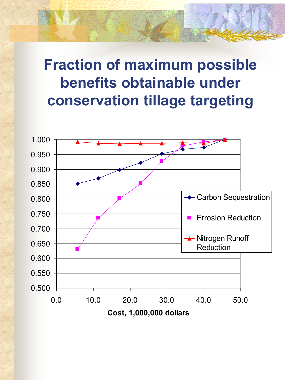## **Fraction of maximum possible benefits obtainable under conservation tillage targeting**

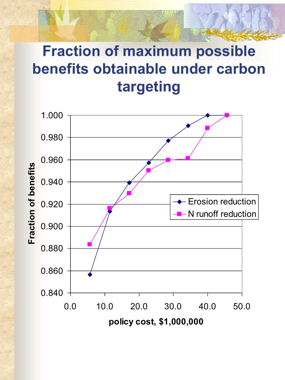# **Fraction of maximum possible benefits obtainable under carbon targeting**